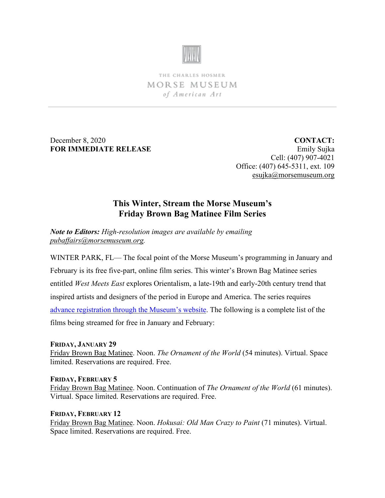

THE CHARLES HOSMER MORSE MUSEUM of American Art

December 8, 2020 **FOR IMMEDIATE RELEASE**

**CONTACT:** Emily Sujka Cell: (407) 907-4021 Office: (407) 645-5311, ext. 109 [esujka@morsemuseum.org](mailto:esujka@morsemuseum.org)

# **This Winter, Stream the Morse Museum's Friday Brown Bag Matinee Film Series**

*Note to Editors: High-resolution images are available by emailing [pubaffairs@morsemuseum.org.](mailto:pubaffairs@morsemuseum.org)*

WINTER PARK, FL— The focal point of the Morse Museum's programming in January and February is its free five-part, online film series. This winter's Brown Bag Matinee series entitled *West Meets East* explores Orientalism, a late-19th and early-20th century trend that inspired artists and designers of the period in Europe and America. The series requires [advance registration through the Museum's website.](https://www.morsemuseum.org/programs-events/friday-brown-bag-matinees) The following is a complete list of the films being streamed for free in January and February:

## **FRIDAY, JANUARY 29**

Friday Brown Bag Matinee. Noon. *The Ornament of the World* (54 minutes). Virtual. Space limited. Reservations are required. Free.

## **FRIDAY, FEBRUARY 5**

Friday Brown Bag Matinee. Noon. Continuation of *The Ornament of the World* (61 minutes). Virtual. Space limited. Reservations are required. Free.

## **FRIDAY, FEBRUARY 12**

Friday Brown Bag Matinee. Noon. *Hokusai: Old Man Crazy to Paint* (71 minutes). Virtual. Space limited. Reservations are required. Free.